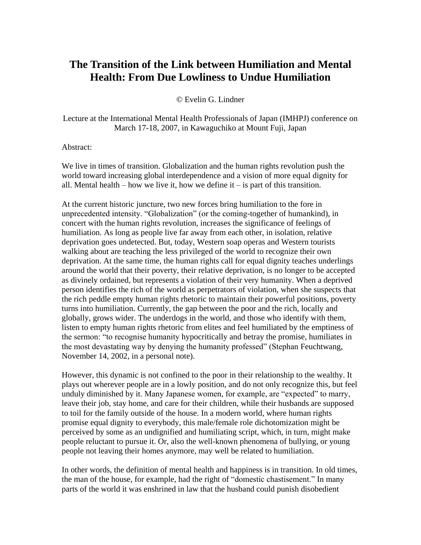## **The Transition of the Link between Humiliation and Mental Health: From Due Lowliness to Undue Humiliation**

© Evelin G. Lindner

Lecture at the International Mental Health Professionals of Japan (IMHPJ) conference on March 17-18, 2007, in Kawaguchiko at Mount Fuji, Japan

Abstract:

We live in times of transition. Globalization and the human rights revolution push the world toward increasing global interdependence and a vision of more equal dignity for all. Mental health – how we live it, how we define it – is part of this transition.

At the current historic juncture, two new forces bring humiliation to the fore in unprecedented intensity. "Globalization" (or the coming-together of humankind), in concert with the human rights revolution, increases the significance of feelings of humiliation. As long as people live far away from each other, in isolation, relative deprivation goes undetected. But, today, Western soap operas and Western tourists walking about are teaching the less privileged of the world to recognize their own deprivation. At the same time, the human rights call for equal dignity teaches underlings around the world that their poverty, their relative deprivation, is no longer to be accepted as divinely ordained, but represents a violation of their very humanity. When a deprived person identifies the rich of the world as perpetrators of violation, when she suspects that the rich peddle empty human rights rhetoric to maintain their powerful positions, poverty turns into humiliation. Currently, the gap between the poor and the rich, locally and globally, grows wider. The underdogs in the world, and those who identify with them, listen to empty human rights rhetoric from elites and feel humiliated by the emptiness of the sermon: "to recognise humanity hypocritically and betray the promise, humiliates in the most devastating way by denying the humanity professed" (Stephan Feuchtwang, November 14, 2002, in a personal note).

However, this dynamic is not confined to the poor in their relationship to the wealthy. It plays out wherever people are in a lowly position, and do not only recognize this, but feel unduly diminished by it. Many Japanese women, for example, are "expected" to marry, leave their job, stay home, and care for their children, while their husbands are supposed to toil for the family outside of the house. In a modern world, where human rights promise equal dignity to everybody, this male/female role dichotomization might be perceived by some as an undignified and humiliating script, which, in turn, might make people reluctant to pursue it. Or, also the well-known phenomena of bullying, or young people not leaving their homes anymore, may well be related to humiliation.

In other words, the definition of mental health and happiness is in transition. In old times, the man of the house, for example, had the right of "domestic chastisement." In many parts of the world it was enshrined in law that the husband could punish disobedient